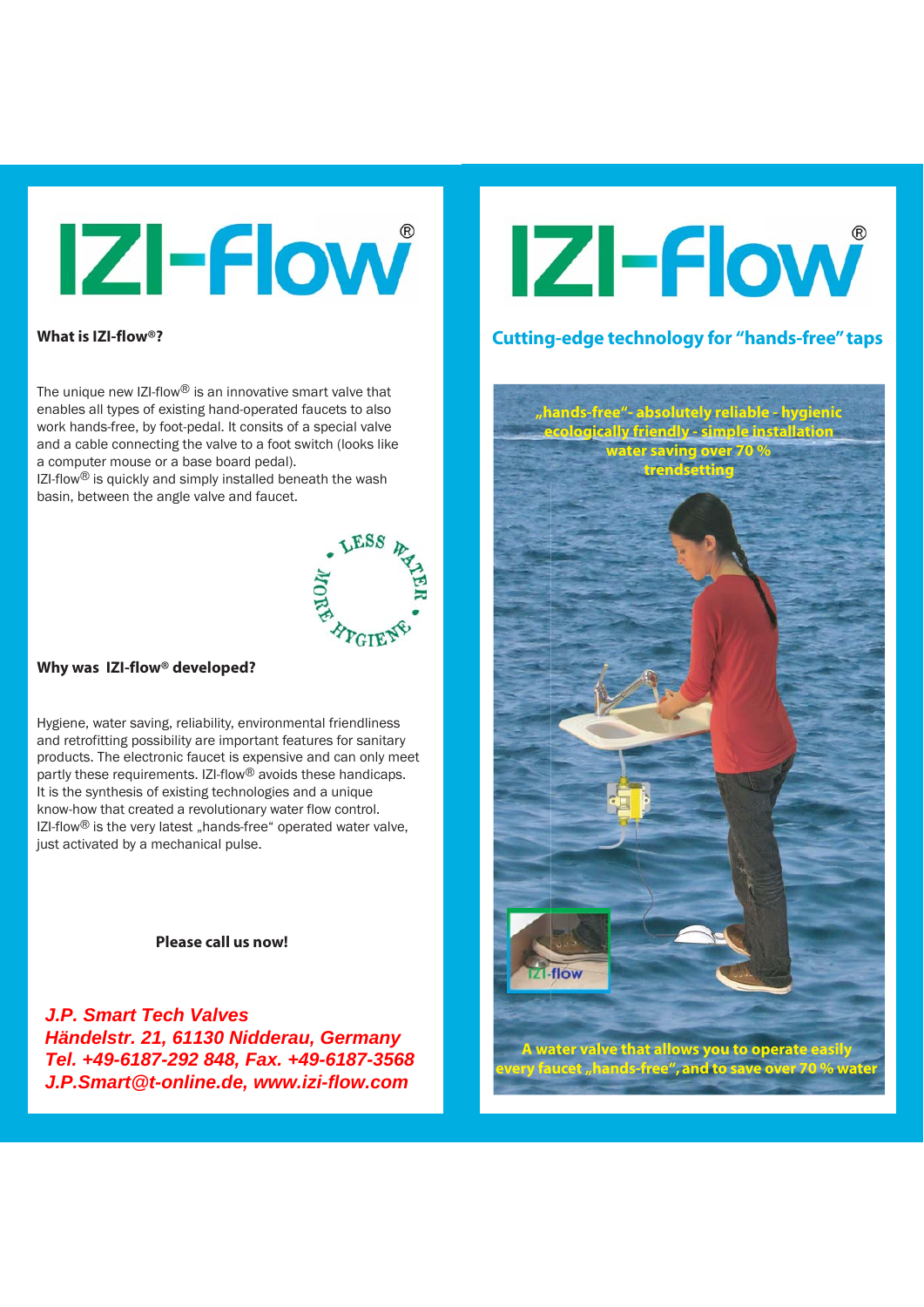## **IZI-Flow**

### **What is IZI-flow®?**

The unique new IZI-flow $^{\circledR}$  is an innovative smart valve that enables all types of existing hand-operated faucets to also work hands-free, by foot-pedal. It consits of a special valve and a cable connecting the valve to a foot switch (looks like a computer mouse or a base board pedal).

IZI-flow<sup>®</sup> is quickly and simply installed beneath the wash basin, between the angle valve and faucet.



### **Why was IZI-flow® developed?**

Hygiene, water saving, reliability, environmental friendliness and retrofitting possibility are important features for sanitary products. The electronic faucet is expensive and can only meet partly these requirements. IZI-flow<sup>®</sup> avoids these handicaps. It is the synthesis of existing technologies and a unique know-how that created a revolutionary water flow control.  $IZI-flow<sup>®</sup>$  is the very latest "hands-free" operated water valve, just activated by a mechanical pulse.

 **Please call us now!**

r **Jech Valves** Händelstr. 21, 61130 Nidderau, Germany **Händelstr. 21, 61130 Nidderau, Germany**  Tel. +49-6187-292 848, Fax. +49-6187-3568 **Tel. +49-6187-292 848, Fax. +49-6187-3568**  J.P.Smart@t-online.de, www.izi-flow.com **J.P.Smart@t-online.de, www.izi-flow.comJ.P. Smart Tech Valves** 

## **IZI-Flow**

## **Cutting-edge technology for "hands-free" taps**

**"hands-free"- absolutely reliable - hygienic ecologically friendly - simple installation water saving over 70 % trendsetting**

 **A water valve that allows you to operate easily every faucet "hands-free", and to save over 70 % water**

-flow